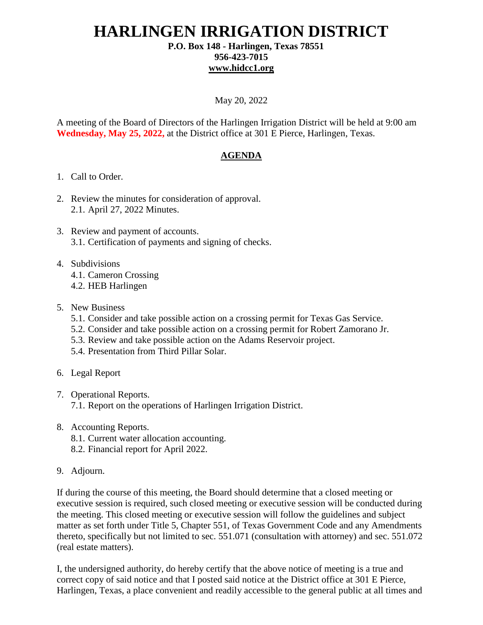## **HARLINGEN IRRIGATION DISTRICT P.O. Box 148 - Harlingen, Texas 78551**

### **956-423-7015 [www.hidcc1.org](http://www.hidcc1.org/)**

#### May 20, 2022

A meeting of the Board of Directors of the Harlingen Irrigation District will be held at 9:00 am **Wednesday, May 25, 2022,** at the District office at 301 E Pierce, Harlingen, Texas.

#### **AGENDA**

- 1. Call to Order.
- 2. Review the minutes for consideration of approval. 2.1. April 27, 2022 Minutes.
- 3. Review and payment of accounts. 3.1. Certification of payments and signing of checks.
- 4. Subdivisions
	- 4.1. Cameron Crossing
	- 4.2. HEB Harlingen
- 5. New Business
	- 5.1. Consider and take possible action on a crossing permit for Texas Gas Service.
	- 5.2. Consider and take possible action on a crossing permit for Robert Zamorano Jr.
	- 5.3. Review and take possible action on the Adams Reservoir project.
	- 5.4. Presentation from Third Pillar Solar.
- 6. Legal Report
- 7. Operational Reports.

7.1. Report on the operations of Harlingen Irrigation District.

- 8. Accounting Reports.
	- 8.1. Current water allocation accounting.
	- 8.2. Financial report for April 2022.
- 9. Adjourn.

If during the course of this meeting, the Board should determine that a closed meeting or executive session is required, such closed meeting or executive session will be conducted during the meeting. This closed meeting or executive session will follow the guidelines and subject matter as set forth under Title 5, Chapter 551, of Texas Government Code and any Amendments thereto, specifically but not limited to sec. 551.071 (consultation with attorney) and sec. 551.072 (real estate matters).

I, the undersigned authority, do hereby certify that the above notice of meeting is a true and correct copy of said notice and that I posted said notice at the District office at 301 E Pierce, Harlingen, Texas, a place convenient and readily accessible to the general public at all times and